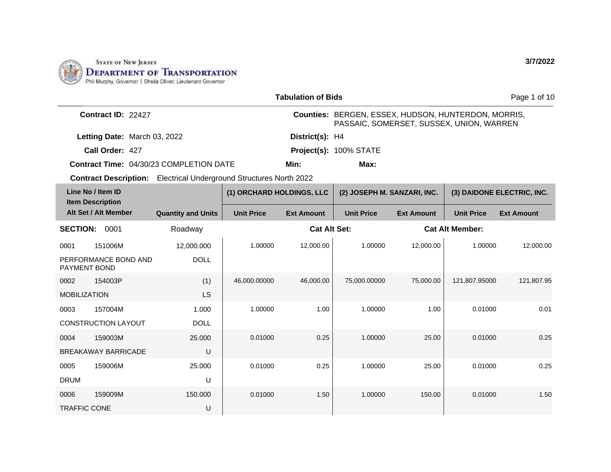

TRAFFIC CONE

U

|                                                |                                                                           |                           |                           | <b>Tabulation of Bids</b> |                                                                                                 |                   |                        | Page 1 of 10               |  |
|------------------------------------------------|---------------------------------------------------------------------------|---------------------------|---------------------------|---------------------------|-------------------------------------------------------------------------------------------------|-------------------|------------------------|----------------------------|--|
|                                                | Contract ID: 22427                                                        |                           |                           |                           | Counties: BERGEN, ESSEX, HUDSON, HUNTERDON, MORRIS,<br>PASSAIC, SOMERSET, SUSSEX, UNION, WARREN |                   |                        |                            |  |
|                                                | Letting Date: March 03, 2022                                              |                           |                           | District(s): H4           |                                                                                                 |                   |                        |                            |  |
|                                                | Call Order: 427                                                           |                           |                           |                           | Project(s): 100% STATE                                                                          |                   |                        |                            |  |
| <b>Contract Time: 04/30/23 COMPLETION DATE</b> |                                                                           |                           |                           | Min:                      | Max:                                                                                            |                   |                        |                            |  |
|                                                | <b>Contract Description:</b> Electrical Underground Structures North 2022 |                           |                           |                           |                                                                                                 |                   |                        |                            |  |
| Line No / Item ID<br><b>Item Description</b>   |                                                                           |                           | (1) ORCHARD HOLDINGS, LLC |                           | (2) JOSEPH M. SANZARI, INC.                                                                     |                   |                        | (3) DAIDONE ELECTRIC, INC. |  |
|                                                | Alt Set / Alt Member                                                      | <b>Quantity and Units</b> | <b>Unit Price</b>         | <b>Ext Amount</b>         | <b>Unit Price</b>                                                                               | <b>Ext Amount</b> | <b>Unit Price</b>      | <b>Ext Amount</b>          |  |
| <b>SECTION:</b>                                | 0001                                                                      | Roadway                   |                           | <b>Cat Alt Set:</b>       |                                                                                                 |                   | <b>Cat Alt Member:</b> |                            |  |
| 0001                                           | 151006M                                                                   | 12,000.000                | 1.00000                   | 12,000.00                 | 1.00000                                                                                         | 12,000.00         | 1.00000                | 12,000.00                  |  |
|                                                | PERFORMANCE BOND AND<br><b>PAYMENT BOND</b>                               | <b>DOLL</b>               |                           |                           |                                                                                                 |                   |                        |                            |  |
| 0002                                           | 154003P                                                                   | (1)                       | 46,000.00000              | 46,000.00                 | 75,000.00000                                                                                    | 75,000.00         | 121,807.95000          | 121,807.95                 |  |
| <b>MOBILIZATION</b>                            |                                                                           | <b>LS</b>                 |                           |                           |                                                                                                 |                   |                        |                            |  |
| 0003                                           | 157004M                                                                   | 1.000                     | 1.00000                   | 1.00                      | 1.00000                                                                                         | 1.00              | 0.01000                | 0.01                       |  |
|                                                | <b>CONSTRUCTION LAYOUT</b>                                                | <b>DOLL</b>               |                           |                           |                                                                                                 |                   |                        |                            |  |
| 0004                                           | 159003M                                                                   | 25,000                    | 0.01000                   | 0.25                      | 1.00000                                                                                         | 25.00             | 0.01000                | 0.25                       |  |
|                                                | <b>BREAKAWAY BARRICADE</b>                                                | U                         |                           |                           |                                                                                                 |                   |                        |                            |  |
| 0005                                           | 159006M                                                                   | 25,000                    | 0.01000                   | 0.25                      | 1.00000                                                                                         | 25.00             | 0.01000                | 0.25                       |  |
| <b>DRUM</b>                                    |                                                                           | U                         |                           |                           |                                                                                                 |                   |                        |                            |  |
| 0006                                           | 159009M                                                                   | 150.000                   | 0.01000                   | 1.50                      | 1.00000                                                                                         | 150.00            | 0.01000                | 1.50                       |  |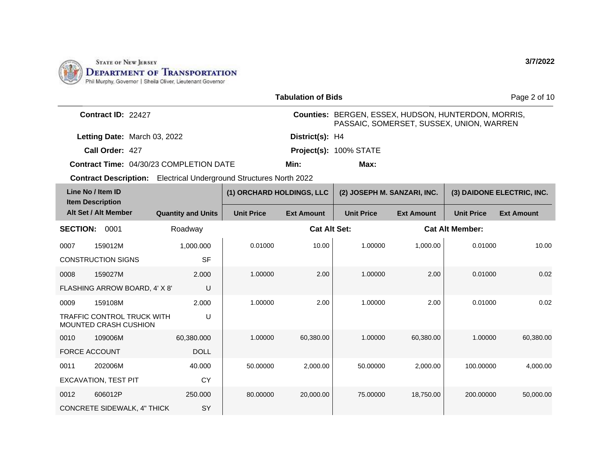

0012 606012P

CONCRETE SIDEWALK, 4" THICK

250.000

SY

|                                              |                                                                           |                                                |                           | <b>Tabulation of Bids</b>                                                                       |                             |                   |                        | Page 2 of 10               |  |  |
|----------------------------------------------|---------------------------------------------------------------------------|------------------------------------------------|---------------------------|-------------------------------------------------------------------------------------------------|-----------------------------|-------------------|------------------------|----------------------------|--|--|
|                                              | Contract ID: 22427                                                        |                                                |                           | Counties: BERGEN, ESSEX, HUDSON, HUNTERDON, MORRIS,<br>PASSAIC, SOMERSET, SUSSEX, UNION, WARREN |                             |                   |                        |                            |  |  |
|                                              | Letting Date: March 03, 2022                                              |                                                |                           | District(s): H4                                                                                 |                             |                   |                        |                            |  |  |
|                                              | Call Order: 427                                                           |                                                |                           |                                                                                                 | Project(s): 100% STATE      |                   |                        |                            |  |  |
|                                              |                                                                           | <b>Contract Time: 04/30/23 COMPLETION DATE</b> |                           | Min:                                                                                            | Max:                        |                   |                        |                            |  |  |
|                                              | <b>Contract Description:</b> Electrical Underground Structures North 2022 |                                                |                           |                                                                                                 |                             |                   |                        |                            |  |  |
| Line No / Item ID<br><b>Item Description</b> |                                                                           |                                                | (1) ORCHARD HOLDINGS, LLC |                                                                                                 | (2) JOSEPH M. SANZARI, INC. |                   |                        | (3) DAIDONE ELECTRIC, INC. |  |  |
|                                              | Alt Set / Alt Member                                                      | <b>Quantity and Units</b>                      | <b>Unit Price</b>         | <b>Ext Amount</b>                                                                               | <b>Unit Price</b>           | <b>Ext Amount</b> | <b>Unit Price</b>      | <b>Ext Amount</b>          |  |  |
| <b>SECTION:</b>                              | 0001                                                                      | Roadway                                        |                           | <b>Cat Alt Set:</b>                                                                             |                             |                   | <b>Cat Alt Member:</b> |                            |  |  |
| 0007                                         | 159012M                                                                   | 1,000.000                                      | 0.01000                   | 10.00                                                                                           | 1.00000                     | 1,000.00          | 0.01000                | 10.00                      |  |  |
|                                              | <b>CONSTRUCTION SIGNS</b>                                                 | <b>SF</b>                                      |                           |                                                                                                 |                             |                   |                        |                            |  |  |
| 0008                                         | 159027M                                                                   | 2.000                                          | 1.00000                   | 2.00                                                                                            | 1.00000                     | 2.00              | 0.01000                | 0.02                       |  |  |
|                                              | FLASHING ARROW BOARD, 4' X 8'                                             | U                                              |                           |                                                                                                 |                             |                   |                        |                            |  |  |
| 0009                                         | 159108M                                                                   | 2.000                                          | 1.00000                   | 2.00                                                                                            | 1.00000                     | 2.00              | 0.01000                | 0.02                       |  |  |
|                                              | <b>TRAFFIC CONTROL TRUCK WITH</b><br>MOUNTED CRASH CUSHION                | U                                              |                           |                                                                                                 |                             |                   |                        |                            |  |  |
| 0010                                         | 109006M                                                                   | 60,380.000                                     | 1.00000                   | 60,380.00                                                                                       | 1.00000                     | 60,380.00         | 1.00000                | 60,380.00                  |  |  |
| <b>FORCE ACCOUNT</b>                         |                                                                           | <b>DOLL</b>                                    |                           |                                                                                                 |                             |                   |                        |                            |  |  |
| 0011                                         | 202006M                                                                   | 40.000                                         | 50.00000                  | 2,000.00                                                                                        | 50.00000                    | 2.000.00          | 100.00000              | 4,000.00                   |  |  |
|                                              | <b>EXCAVATION, TEST PIT</b>                                               | <b>CY</b>                                      |                           |                                                                                                 |                             |                   |                        |                            |  |  |

80.00000 20,000.00 75.00000 18,750.00 200.00000 50,000.00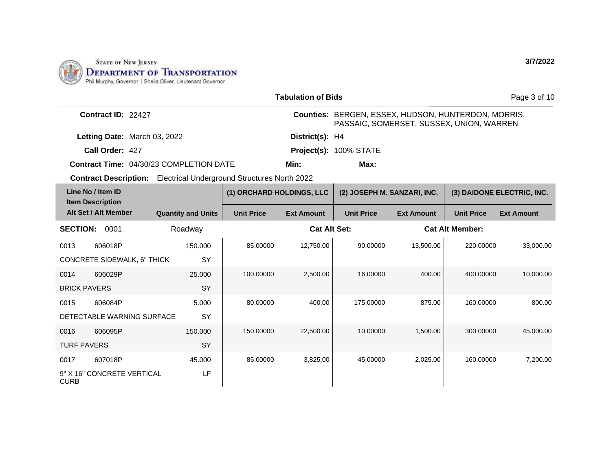

|                                 | <b>Tabulation of Bids</b>                      |  |                           |                                                                           |                           |                                                     |                                          |                   | Page 3 of 10               |
|---------------------------------|------------------------------------------------|--|---------------------------|---------------------------------------------------------------------------|---------------------------|-----------------------------------------------------|------------------------------------------|-------------------|----------------------------|
|                                 | Contract ID: 22427                             |  |                           |                                                                           |                           | Counties: BERGEN, ESSEX, HUDSON, HUNTERDON, MORRIS, | PASSAIC, SOMERSET, SUSSEX, UNION, WARREN |                   |                            |
|                                 | Letting Date: March 03, 2022                   |  |                           |                                                                           | District(s): H4           |                                                     |                                          |                   |                            |
|                                 | Call Order: 427                                |  |                           |                                                                           |                           | Project(s): 100% STATE                              |                                          |                   |                            |
|                                 | <b>Contract Time: 04/30/23 COMPLETION DATE</b> |  |                           |                                                                           | Min:                      | Max:                                                |                                          |                   |                            |
|                                 |                                                |  |                           | <b>Contract Description:</b> Electrical Underground Structures North 2022 |                           |                                                     |                                          |                   |                            |
|                                 | Line No / Item ID<br><b>Item Description</b>   |  |                           |                                                                           | (1) ORCHARD HOLDINGS, LLC |                                                     | (2) JOSEPH M. SANZARI, INC.              |                   | (3) DAIDONE ELECTRIC, INC. |
|                                 | Alt Set / Alt Member                           |  | <b>Quantity and Units</b> | <b>Unit Price</b>                                                         | <b>Ext Amount</b>         | <b>Unit Price</b>                                   | <b>Ext Amount</b>                        | <b>Unit Price</b> | <b>Ext Amount</b>          |
| <b>SECTION: 0001</b><br>Roadway |                                                |  |                           | <b>Cat Alt Set:</b>                                                       |                           |                                                     | <b>Cat Alt Member:</b>                   |                   |                            |
| 0013                            | 606018P                                        |  | 150.000                   | 85.00000                                                                  | 12.750.00                 | 90.00000                                            | 13,500.00                                | 220.00000         | 33,000.00                  |
|                                 | CONCRETE SIDEWALK, 6" THICK                    |  | SY                        |                                                                           |                           |                                                     |                                          |                   |                            |
| 0014                            | 606029P                                        |  | 25,000                    | 100.00000                                                                 | 2,500.00                  | 16.00000                                            | 400.00                                   | 400.00000         | 10,000.00                  |
| <b>BRICK PAVERS</b>             |                                                |  | <b>SY</b>                 |                                                                           |                           |                                                     |                                          |                   |                            |
| 0015                            | 606084P                                        |  | 5.000                     | 80.00000                                                                  | 400.00                    | 175.00000                                           | 875.00                                   | 160.00000         | 800.00                     |
|                                 | DETECTABLE WARNING SURFACE                     |  | <b>SY</b>                 |                                                                           |                           |                                                     |                                          |                   |                            |
| 0016                            | 606095P                                        |  | 150.000                   | 150.00000                                                                 | 22,500.00                 | 10.00000                                            | 1,500.00                                 | 300.00000         | 45,000.00                  |
| <b>TURF PAVERS</b>              |                                                |  | SY                        |                                                                           |                           |                                                     |                                          |                   |                            |
| 0017                            | 607018P                                        |  | 45.000                    | 85.00000                                                                  | 3,825.00                  | 45.00000                                            | 2,025.00                                 | 160,00000         | 7,200.00                   |
| <b>CURB</b>                     | 9" X 16" CONCRETE VERTICAL                     |  | LF                        |                                                                           |                           |                                                     |                                          |                   |                            |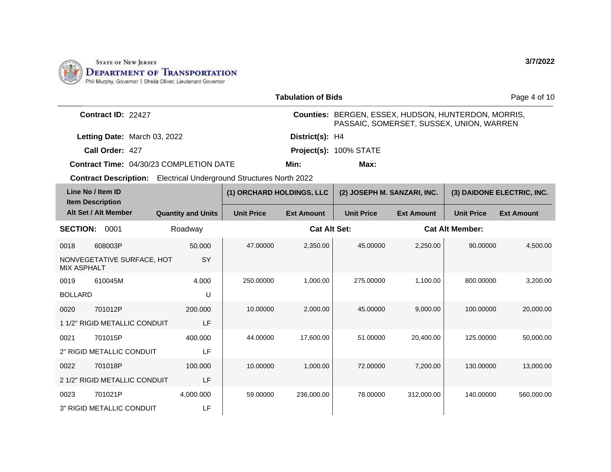

|                    | <b>Tabulation of Bids</b><br>Page 4 of 10                                 |                                                |                           |                     |                                                                                                 |                             |                        |                            |
|--------------------|---------------------------------------------------------------------------|------------------------------------------------|---------------------------|---------------------|-------------------------------------------------------------------------------------------------|-----------------------------|------------------------|----------------------------|
|                    | Contract ID: 22427                                                        |                                                |                           |                     | Counties: BERGEN, ESSEX, HUDSON, HUNTERDON, MORRIS,<br>PASSAIC, SOMERSET, SUSSEX, UNION, WARREN |                             |                        |                            |
|                    | Letting Date: March 03, 2022                                              |                                                |                           | District(s): H4     |                                                                                                 |                             |                        |                            |
|                    | Call Order: 427                                                           |                                                |                           |                     | Project(s): 100% STATE                                                                          |                             |                        |                            |
|                    |                                                                           | <b>Contract Time: 04/30/23 COMPLETION DATE</b> |                           | Min:                | Max:                                                                                            |                             |                        |                            |
|                    | <b>Contract Description:</b> Electrical Underground Structures North 2022 |                                                |                           |                     |                                                                                                 |                             |                        |                            |
|                    | Line No / Item ID<br><b>Item Description</b>                              |                                                | (1) ORCHARD HOLDINGS, LLC |                     |                                                                                                 | (2) JOSEPH M. SANZARI, INC. |                        | (3) DAIDONE ELECTRIC, INC. |
|                    | Alt Set / Alt Member                                                      | <b>Quantity and Units</b>                      | <b>Unit Price</b>         | <b>Ext Amount</b>   | <b>Unit Price</b>                                                                               | <b>Ext Amount</b>           | <b>Unit Price</b>      | <b>Ext Amount</b>          |
| <b>SECTION:</b>    | 0001                                                                      | Roadway                                        |                           | <b>Cat Alt Set:</b> |                                                                                                 |                             | <b>Cat Alt Member:</b> |                            |
| 0018               | 608003P                                                                   | 50,000                                         | 47.00000                  | 2,350.00            | 45.00000                                                                                        | 2,250.00                    | 90.00000               | 4,500.00                   |
| <b>MIX ASPHALT</b> | NONVEGETATIVE SURFACE, HOT                                                | SY                                             |                           |                     |                                                                                                 |                             |                        |                            |
| 0019               | 610045M                                                                   | 4.000                                          | 250.00000                 | 1,000.00            | 275.00000                                                                                       | 1,100.00                    | 800.00000              | 3,200.00                   |
| <b>BOLLARD</b>     |                                                                           | U                                              |                           |                     |                                                                                                 |                             |                        |                            |
| 0020               | 701012P                                                                   | 200,000                                        | 10.00000                  | 2,000.00            | 45.00000                                                                                        | 9,000.00                    | 100.00000              | 20,000.00                  |
|                    | 1 1/2" RIGID METALLIC CONDUIT                                             | LF                                             |                           |                     |                                                                                                 |                             |                        |                            |
| 0021               | 701015P                                                                   | 400.000                                        | 44.00000                  | 17,600.00           | 51.00000                                                                                        | 20,400.00                   | 125.00000              | 50,000.00                  |
|                    | 2" RIGID METALLIC CONDUIT                                                 | LF                                             |                           |                     |                                                                                                 |                             |                        |                            |
| 0022               | 701018P                                                                   | 100.000                                        | 10.00000                  | 1.000.00            | 72.00000                                                                                        | 7,200.00                    | 130.00000              | 13,000.00                  |
|                    | 2 1/2" RIGID METALLIC CONDUIT                                             | LF                                             |                           |                     |                                                                                                 |                             |                        |                            |
| 0023               | 701021P                                                                   | 4,000.000                                      | 59.00000                  | 236,000.00          | 78.00000                                                                                        | 312,000.00                  | 140.00000              | 560,000.00                 |
|                    | 3" RIGID METALLIC CONDUIT                                                 | LF                                             |                           |                     |                                                                                                 |                             |                        |                            |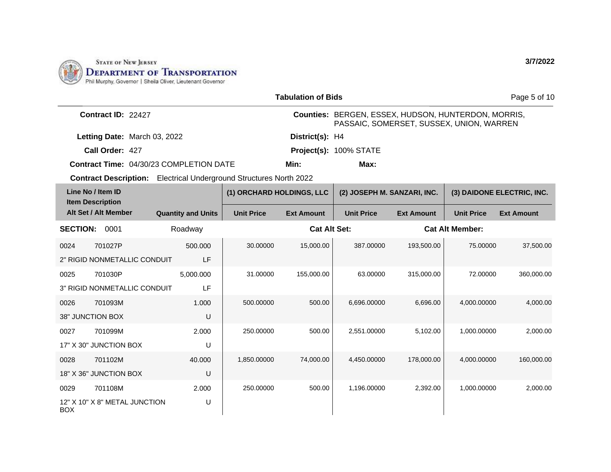

|                 |                                                                           |                           |                           | <b>Tabulation of Bids</b> |                                                                                                 |                             |                        | Page 5 of 10               |
|-----------------|---------------------------------------------------------------------------|---------------------------|---------------------------|---------------------------|-------------------------------------------------------------------------------------------------|-----------------------------|------------------------|----------------------------|
|                 | Contract ID: 22427                                                        |                           |                           |                           | Counties: BERGEN, ESSEX, HUDSON, HUNTERDON, MORRIS,<br>PASSAIC, SOMERSET, SUSSEX, UNION, WARREN |                             |                        |                            |
|                 | Letting Date: March 03, 2022                                              |                           |                           | District(s): H4           |                                                                                                 |                             |                        |                            |
|                 | Call Order: 427                                                           |                           |                           |                           | Project(s): 100% STATE                                                                          |                             |                        |                            |
|                 | Contract Time: 04/30/23 COMPLETION DATE                                   |                           |                           | Min:                      | Max:                                                                                            |                             |                        |                            |
|                 | <b>Contract Description:</b> Electrical Underground Structures North 2022 |                           |                           |                           |                                                                                                 |                             |                        |                            |
|                 | Line No / Item ID<br><b>Item Description</b>                              |                           | (1) ORCHARD HOLDINGS, LLC |                           |                                                                                                 | (2) JOSEPH M. SANZARI, INC. |                        | (3) DAIDONE ELECTRIC, INC. |
|                 | Alt Set / Alt Member                                                      | <b>Quantity and Units</b> | <b>Unit Price</b>         | <b>Ext Amount</b>         | <b>Unit Price</b>                                                                               | <b>Ext Amount</b>           | <b>Unit Price</b>      | <b>Ext Amount</b>          |
| <b>SECTION:</b> | 0001                                                                      | Roadway                   |                           | <b>Cat Alt Set:</b>       |                                                                                                 |                             | <b>Cat Alt Member:</b> |                            |
| 0024            | 701027P                                                                   | 500.000                   | 30.00000                  | 15,000.00                 | 387.00000                                                                                       | 193,500.00                  | 75.00000               | 37,500.00                  |
|                 | 2" RIGID NONMETALLIC CONDUIT                                              | LF                        |                           |                           |                                                                                                 |                             |                        |                            |
| 0025            | 701030P                                                                   | 5,000.000                 | 31.00000                  | 155,000.00                | 63.00000                                                                                        | 315,000.00                  | 72.00000               | 360,000.00                 |
|                 | 3" RIGID NONMETALLIC CONDUIT                                              | LF                        |                           |                           |                                                                                                 |                             |                        |                            |
| 0026            | 701093M                                                                   | 1.000                     | 500.00000                 | 500.00                    | 6,696.00000                                                                                     | 6,696.00                    | 4,000.00000            | 4,000.00                   |
|                 | 38" JUNCTION BOX                                                          | U                         |                           |                           |                                                                                                 |                             |                        |                            |
| 0027            | 701099M                                                                   | 2.000                     | 250.00000                 | 500.00                    | 2,551.00000                                                                                     | 5,102.00                    | 1,000.00000            | 2,000.00                   |
|                 | 17" X 30" JUNCTION BOX                                                    | U                         |                           |                           |                                                                                                 |                             |                        |                            |
| 0028            | 701102M                                                                   | 40.000                    | 1,850.00000               | 74,000.00                 | 4,450.00000                                                                                     | 178,000.00                  | 4,000.00000            | 160,000.00                 |
|                 | 18" X 36" JUNCTION BOX                                                    | U                         |                           |                           |                                                                                                 |                             |                        |                            |
| 0029            | 701108M                                                                   | 2.000                     | 250.00000                 | 500.00                    | 1,196.00000                                                                                     | 2.392.00                    | 1,000.00000            | 2,000.00                   |
| <b>BOX</b>      | 12" X 10" X 8" METAL JUNCTION                                             | U                         |                           |                           |                                                                                                 |                             |                        |                            |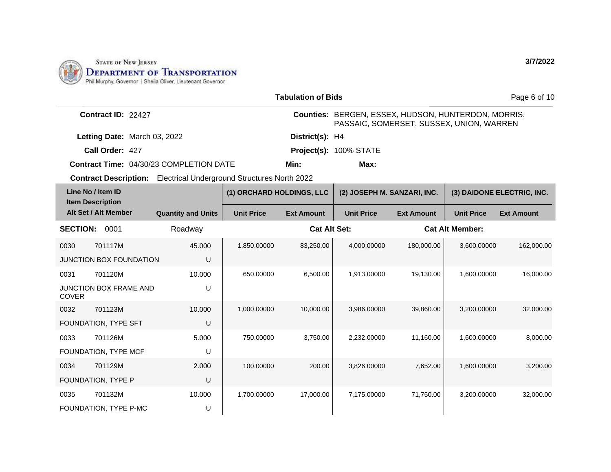

|                                                                | <b>Tabulation of Bids</b><br>Page 6 of 10                                 |                           |                           |                     |                                                                                                 |                   |                        |                            |  |
|----------------------------------------------------------------|---------------------------------------------------------------------------|---------------------------|---------------------------|---------------------|-------------------------------------------------------------------------------------------------|-------------------|------------------------|----------------------------|--|
|                                                                | Contract ID: 22427                                                        |                           |                           |                     | Counties: BERGEN, ESSEX, HUDSON, HUNTERDON, MORRIS,<br>PASSAIC, SOMERSET, SUSSEX, UNION, WARREN |                   |                        |                            |  |
|                                                                | Letting Date: March 03, 2022                                              |                           |                           | District(s): H4     |                                                                                                 |                   |                        |                            |  |
|                                                                | Call Order: 427                                                           |                           |                           |                     | Project(s): 100% STATE                                                                          |                   |                        |                            |  |
| Min:<br><b>Contract Time: 04/30/23 COMPLETION DATE</b><br>Max: |                                                                           |                           |                           |                     |                                                                                                 |                   |                        |                            |  |
|                                                                | <b>Contract Description:</b> Electrical Underground Structures North 2022 |                           |                           |                     |                                                                                                 |                   |                        |                            |  |
|                                                                | Line No / Item ID<br><b>Item Description</b>                              |                           | (1) ORCHARD HOLDINGS, LLC |                     | (2) JOSEPH M. SANZARI, INC.                                                                     |                   |                        | (3) DAIDONE ELECTRIC, INC. |  |
|                                                                | Alt Set / Alt Member                                                      | <b>Quantity and Units</b> | <b>Unit Price</b>         | <b>Ext Amount</b>   | <b>Unit Price</b>                                                                               | <b>Ext Amount</b> | <b>Unit Price</b>      | <b>Ext Amount</b>          |  |
| <b>SECTION:</b>                                                | 0001                                                                      | Roadway                   |                           | <b>Cat Alt Set:</b> |                                                                                                 |                   | <b>Cat Alt Member:</b> |                            |  |
| 0030                                                           | 701117M                                                                   | 45,000                    | 1,850.00000               | 83,250.00           | 4,000.00000                                                                                     | 180,000.00        | 3,600.00000            | 162,000.00                 |  |
|                                                                | <b>JUNCTION BOX FOUNDATION</b>                                            | U                         |                           |                     |                                                                                                 |                   |                        |                            |  |
| 0031                                                           | 701120M                                                                   | 10.000                    | 650.00000                 | 6,500.00            | 1,913.00000                                                                                     | 19,130.00         | 1,600.00000            | 16,000.00                  |  |
| <b>COVER</b>                                                   | <b>JUNCTION BOX FRAME AND</b>                                             | U                         |                           |                     |                                                                                                 |                   |                        |                            |  |
| 0032                                                           | 701123M                                                                   | 10.000                    | 1,000.00000               | 10,000.00           | 3,986.00000                                                                                     | 39,860.00         | 3,200.00000            | 32,000.00                  |  |
|                                                                | FOUNDATION, TYPE SFT                                                      | U                         |                           |                     |                                                                                                 |                   |                        |                            |  |
| 0033                                                           | 701126M                                                                   | 5.000                     | 750.00000                 | 3,750.00            | 2,232.00000                                                                                     | 11,160.00         | 1,600.00000            | 8,000.00                   |  |
|                                                                | FOUNDATION, TYPE MCF                                                      | U                         |                           |                     |                                                                                                 |                   |                        |                            |  |
| 0034                                                           | 701129M                                                                   | 2.000                     | 100.00000                 | 200.00              | 3,826.00000                                                                                     | 7,652.00          | 1,600.00000            | 3,200.00                   |  |
|                                                                | FOUNDATION, TYPE P                                                        | U                         |                           |                     |                                                                                                 |                   |                        |                            |  |
| 0035                                                           | 701132M                                                                   | 10.000                    | 1,700.00000               | 17,000.00           | 7,175,00000                                                                                     | 71,750.00         | 3,200.00000            | 32,000.00                  |  |
|                                                                | FOUNDATION, TYPE P-MC                                                     | U                         |                           |                     |                                                                                                 |                   |                        |                            |  |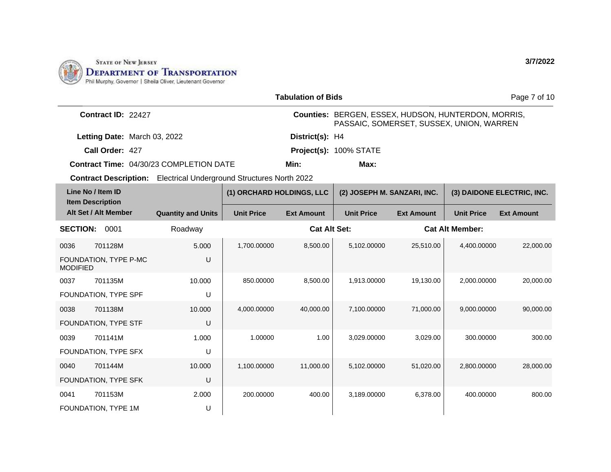

FOUNDATION, TYPE 1M

U

|                   |                                                 |                                                                           |                           | <b>Tabulation of Bids</b>                                                                       |                             |                   |                        | Page 7 of 10               |
|-------------------|-------------------------------------------------|---------------------------------------------------------------------------|---------------------------|-------------------------------------------------------------------------------------------------|-----------------------------|-------------------|------------------------|----------------------------|
|                   | Contract ID: 22427                              |                                                                           |                           | Counties: BERGEN, ESSEX, HUDSON, HUNTERDON, MORRIS,<br>PASSAIC, SOMERSET, SUSSEX, UNION, WARREN |                             |                   |                        |                            |
|                   | Letting Date: March 03, 2022                    |                                                                           |                           | District(s): H4                                                                                 |                             |                   |                        |                            |
|                   | Call Order: 427                                 |                                                                           |                           |                                                                                                 | Project(s): 100% STATE      |                   |                        |                            |
|                   |                                                 | <b>Contract Time: 04/30/23 COMPLETION DATE</b>                            |                           | Min:                                                                                            | Max:                        |                   |                        |                            |
|                   |                                                 | <b>Contract Description:</b> Electrical Underground Structures North 2022 |                           |                                                                                                 |                             |                   |                        |                            |
| Line No / Item ID |                                                 |                                                                           | (1) ORCHARD HOLDINGS, LLC |                                                                                                 | (2) JOSEPH M. SANZARI, INC. |                   |                        | (3) DAIDONE ELECTRIC, INC. |
|                   | <b>Item Description</b><br>Alt Set / Alt Member | <b>Quantity and Units</b>                                                 | <b>Unit Price</b>         | <b>Ext Amount</b>                                                                               | <b>Unit Price</b>           | <b>Ext Amount</b> | <b>Unit Price</b>      | <b>Ext Amount</b>          |
| <b>SECTION:</b>   | 0001                                            | Roadway                                                                   |                           | <b>Cat Alt Set:</b>                                                                             |                             |                   | <b>Cat Alt Member:</b> |                            |
| 0036              | 701128M                                         | 5.000                                                                     | 1,700.00000               | 8,500.00                                                                                        | 5,102.00000                 | 25,510.00         | 4,400.00000            | 22,000.00                  |
| <b>MODIFIED</b>   | FOUNDATION, TYPE P-MC                           | U                                                                         |                           |                                                                                                 |                             |                   |                        |                            |
| 0037              | 701135M                                         | 10.000                                                                    | 850.00000                 | 8,500.00                                                                                        | 1,913.00000                 | 19,130.00         | 2,000.00000            | 20,000.00                  |
|                   | FOUNDATION, TYPE SPF                            | U                                                                         |                           |                                                                                                 |                             |                   |                        |                            |
| 0038              | 701138M                                         | 10.000                                                                    | 4,000.00000               | 40,000.00                                                                                       | 7,100.00000                 | 71,000.00         | 9,000.00000            | 90,000.00                  |
|                   | FOUNDATION, TYPE STF                            | $\cup$                                                                    |                           |                                                                                                 |                             |                   |                        |                            |
| 0039              | 701141M                                         | 1.000                                                                     | 1.00000                   | 1.00                                                                                            | 3,029.00000                 | 3,029.00          | 300.00000              | 300.00                     |
|                   | FOUNDATION, TYPE SFX                            | U                                                                         |                           |                                                                                                 |                             |                   |                        |                            |
| 0040              | 701144M                                         | 10.000                                                                    | 1,100.00000               | 11,000.00                                                                                       | 5,102.00000                 | 51,020.00         | 2,800.00000            | 28,000.00                  |
|                   | FOUNDATION, TYPE SFK                            | U                                                                         |                           |                                                                                                 |                             |                   |                        |                            |
| 0041              | 701153M                                         | 2.000                                                                     | 200.00000                 | 400.00                                                                                          | 3.189.00000                 | 6,378.00          | 400.00000              | 800.00                     |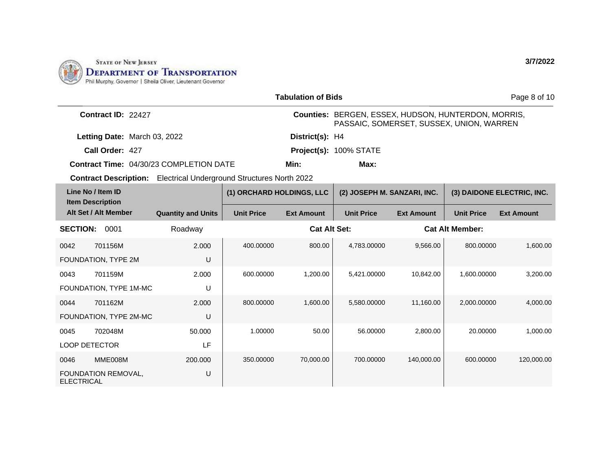

0046 MME008M

ELECTRICAL

FOUNDATION REMOVAL,

200.000

U

| <b>Tabulation of Bids</b><br>Page 8 of 10    |                                                                           |                           |                                                                                                 |                             |                   |                        |                            |  |
|----------------------------------------------|---------------------------------------------------------------------------|---------------------------|-------------------------------------------------------------------------------------------------|-----------------------------|-------------------|------------------------|----------------------------|--|
| Contract ID: 22427                           |                                                                           |                           | Counties: BERGEN, ESSEX, HUDSON, HUNTERDON, MORRIS,<br>PASSAIC, SOMERSET, SUSSEX, UNION, WARREN |                             |                   |                        |                            |  |
| Letting Date: March 03, 2022                 |                                                                           |                           | District(s): H4                                                                                 |                             |                   |                        |                            |  |
| Call Order: 427                              |                                                                           |                           |                                                                                                 | Project(s): 100% STATE      |                   |                        |                            |  |
|                                              | <b>Contract Time: 04/30/23 COMPLETION DATE</b>                            |                           | Min:                                                                                            | Max:                        |                   |                        |                            |  |
|                                              | <b>Contract Description:</b> Electrical Underground Structures North 2022 |                           |                                                                                                 |                             |                   |                        |                            |  |
| Line No / Item ID<br><b>Item Description</b> |                                                                           | (1) ORCHARD HOLDINGS, LLC |                                                                                                 | (2) JOSEPH M. SANZARI, INC. |                   |                        | (3) DAIDONE ELECTRIC, INC. |  |
| Alt Set / Alt Member                         | <b>Quantity and Units</b>                                                 | <b>Unit Price</b>         | <b>Ext Amount</b>                                                                               | <b>Unit Price</b>           | <b>Ext Amount</b> | <b>Unit Price</b>      | <b>Ext Amount</b>          |  |
| <b>SECTION:</b><br>0001                      | Roadway                                                                   |                           | <b>Cat Alt Set:</b>                                                                             |                             |                   | <b>Cat Alt Member:</b> |                            |  |
| 0042<br>701156M                              | 2.000                                                                     | 400.00000                 | 800.00                                                                                          | 4.783.00000                 | 9,566.00          | 800.00000              | 1,600.00                   |  |
| FOUNDATION, TYPE 2M                          | U                                                                         |                           |                                                                                                 |                             |                   |                        |                            |  |
| 701159M<br>0043                              | 2.000                                                                     | 600.00000                 | 1.200.00                                                                                        | 5.421.00000                 | 10.842.00         | 1,600.00000            | 3,200.00                   |  |
| FOUNDATION, TYPE 1M-MC                       | U                                                                         |                           |                                                                                                 |                             |                   |                        |                            |  |
| 701162M<br>0044                              | 2.000                                                                     | 800.00000                 | 1,600.00                                                                                        | 5,580.00000                 | 11,160.00         | 2,000.00000            | 4,000.00                   |  |
| FOUNDATION, TYPE 2M-MC                       | U                                                                         |                           |                                                                                                 |                             |                   |                        |                            |  |
| 702048M<br>0045                              | 50.000                                                                    | 1.00000                   | 50.00                                                                                           | 56.00000                    | 2.800.00          | 20.00000               | 1,000.00                   |  |
| <b>LOOP DETECTOR</b>                         | <b>LF</b>                                                                 |                           |                                                                                                 |                             |                   |                        |                            |  |

350.00000 70,000.00 700.00000 140,000.00 600.00000 120,000.00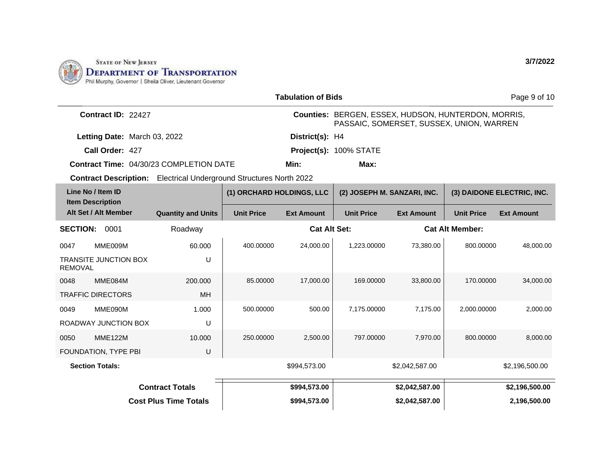

| <b>Tabulation of Bids</b>                                                 |                              |                                                                                                 |                   |                             |                   |                        | Page 9 of 10               |
|---------------------------------------------------------------------------|------------------------------|-------------------------------------------------------------------------------------------------|-------------------|-----------------------------|-------------------|------------------------|----------------------------|
| Contract ID: 22427                                                        |                              | Counties: BERGEN, ESSEX, HUDSON, HUNTERDON, MORRIS,<br>PASSAIC, SOMERSET, SUSSEX, UNION, WARREN |                   |                             |                   |                        |                            |
| Letting Date: March 03, 2022                                              |                              |                                                                                                 | District(s): H4   |                             |                   |                        |                            |
| Call Order: 427                                                           |                              |                                                                                                 |                   | Project(s): 100% STATE      |                   |                        |                            |
| <b>Contract Time: 04/30/23 COMPLETION DATE</b>                            |                              |                                                                                                 | Min:              | Max:                        |                   |                        |                            |
| <b>Contract Description:</b> Electrical Underground Structures North 2022 |                              |                                                                                                 |                   |                             |                   |                        |                            |
| Line No / Item ID                                                         |                              | (1) ORCHARD HOLDINGS, LLC                                                                       |                   | (2) JOSEPH M. SANZARI, INC. |                   |                        | (3) DAIDONE ELECTRIC, INC. |
| <b>Item Description</b><br>Alt Set / Alt Member                           | <b>Quantity and Units</b>    | <b>Unit Price</b>                                                                               | <b>Ext Amount</b> | <b>Unit Price</b>           | <b>Ext Amount</b> | <b>Unit Price</b>      | <b>Ext Amount</b>          |
| <b>SECTION:</b><br>0001                                                   | Roadway                      | <b>Cat Alt Set:</b>                                                                             |                   |                             |                   | <b>Cat Alt Member:</b> |                            |
| MME009M<br>0047                                                           | 60.000                       | 400.00000                                                                                       | 24,000.00         | 1,223.00000                 | 73,380.00         | 800.00000              | 48,000.00                  |
| <b>TRANSITE JUNCTION BOX</b><br><b>REMOVAL</b>                            | U                            |                                                                                                 |                   |                             |                   |                        |                            |
| MME084M<br>0048                                                           | 200.000                      | 85.00000                                                                                        | 17,000.00         | 169.00000                   | 33,800.00         | 170.00000              | 34,000.00                  |
| <b>TRAFFIC DIRECTORS</b>                                                  | <b>MH</b>                    |                                                                                                 |                   |                             |                   |                        |                            |
| 0049<br>MME090M                                                           | 1.000                        | 500.00000                                                                                       | 500.00            | 7,175.00000                 | 7,175.00          | 2,000.00000            | 2,000.00                   |
| <b>ROADWAY JUNCTION BOX</b>                                               | U                            |                                                                                                 |                   |                             |                   |                        |                            |
| <b>MME122M</b><br>0050                                                    | 10.000                       | 250.00000                                                                                       | 2,500.00          | 797.00000                   | 7,970.00          | 800.00000              | 8,000.00                   |
| FOUNDATION, TYPE PBI                                                      | U                            |                                                                                                 |                   |                             |                   |                        |                            |
| <b>Section Totals:</b>                                                    |                              |                                                                                                 | \$994,573.00      |                             | \$2,042,587.00    |                        | \$2,196,500.00             |
|                                                                           | <b>Contract Totals</b>       |                                                                                                 | \$994,573.00      |                             | \$2,042,587.00    |                        | \$2,196,500.00             |
|                                                                           | <b>Cost Plus Time Totals</b> |                                                                                                 | \$994,573.00      |                             | \$2,042,587.00    |                        | 2,196,500.00               |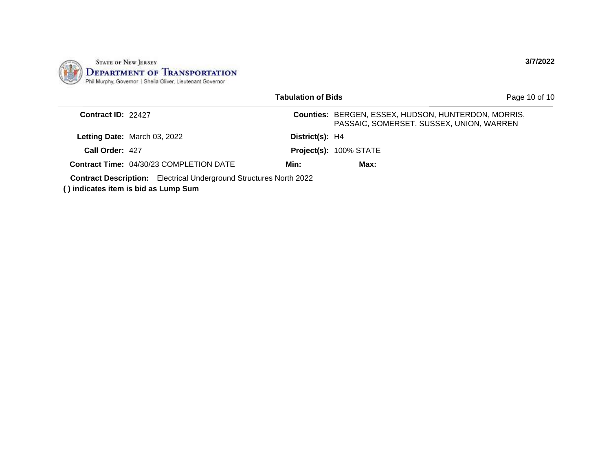

|                    |                                                                                                                  | <b>Tabulation of Bids</b> |                                                                                                 | Page 10 of 10 |
|--------------------|------------------------------------------------------------------------------------------------------------------|---------------------------|-------------------------------------------------------------------------------------------------|---------------|
| Contract ID: 22427 |                                                                                                                  |                           | Counties: BERGEN, ESSEX, HUDSON, HUNTERDON, MORRIS,<br>PASSAIC, SOMERSET, SUSSEX, UNION, WARREN |               |
|                    | Letting Date: March 03, 2022                                                                                     | District(s): H4           |                                                                                                 |               |
| Call Order: 427    |                                                                                                                  |                           | Project(s): 100% STATE                                                                          |               |
|                    | <b>Contract Time: 04/30/23 COMPLETION DATE</b>                                                                   | Min:                      | Max:                                                                                            |               |
|                    | <b>Contract Description:</b> Electrical Underground Structures North 2022<br>) indicates item is bid as Lump Sum |                           |                                                                                                 |               |